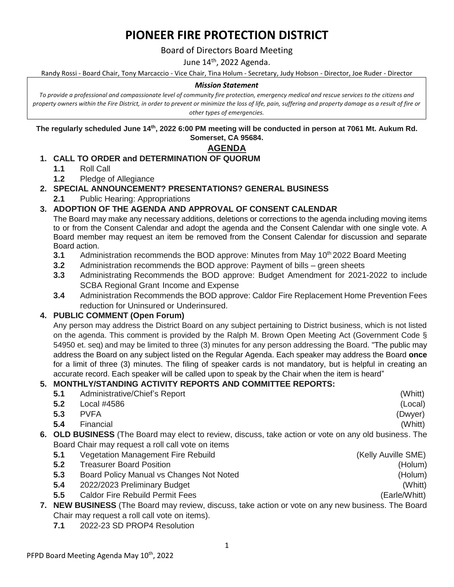# **PIONEER FIRE PROTECTION DISTRICT**

Board of Directors Board Meeting

June 14<sup>th</sup>, 2022 Agenda.

Randy Rossi - Board Chair, Tony Marcaccio - Vice Chair, Tina Holum - Secretary, Judy Hobson - Director, Joe Ruder - Director

#### *Mission Statement*

*To provide a professional and compassionate level of community fire protection, emergency medical and rescue services to the citizens and property owners within the Fire District, in order to prevent or minimize the loss of life, pain, suffering and property damage as a result of fire or other types of emergencies.*

**The regularly scheduled June 14th, 2022 6:00 PM meeting will be conducted in person at 7061 Mt. Aukum Rd. Somerset, CA 95684.**

#### **AGENDA**

## **1. CALL TO ORDER and DETERMINATION OF QUORUM**

- **1.1** Roll Call
- **1.2** Pledge of Allegiance

**2. SPECIAL ANNOUNCEMENT? PRESENTATIONS? GENERAL BUSINESS**

**2.1** Public Hearing: Appropriations

## **3. ADOPTION OF THE AGENDA AND APPROVAL OF CONSENT CALENDAR**

The Board may make any necessary additions, deletions or corrections to the agenda including moving items to or from the Consent Calendar and adopt the agenda and the Consent Calendar with one single vote. A Board member may request an item be removed from the Consent Calendar for discussion and separate Board action.

- **3.1** Administration recommends the BOD approve: Minutes from May 10<sup>th</sup> 2022 Board Meeting
- **3.2** Administration recommends the BOD approve: Payment of bills green sheets
- **3.3** Administrating Recommends the BOD approve: Budget Amendment for 2021-2022 to include SCBA Regional Grant Income and Expense
- **3.4** Administration Recommends the BOD approve: Caldor Fire Replacement Home Prevention Fees reduction for Uninsured or Underinsured.

#### **4. PUBLIC COMMENT (Open Forum)**

Any person may address the District Board on any subject pertaining to District business, which is not listed on the agenda. This comment is provided by the Ralph M. Brown Open Meeting Act (Government Code § 54950 et. seq) and may be limited to three (3) minutes for any person addressing the Board. "The public may address the Board on any subject listed on the Regular Agenda. Each speaker may address the Board **once** for a limit of three (3) minutes. The filing of speaker cards is not mandatory, but is helpful in creating an accurate record. Each speaker will be called upon to speak by the Chair when the item is heard"

## **5. MONTHLY/STANDING ACTIVITY REPORTS AND COMMITTEE REPORTS:**

| 5.1                                                                                                   | Administrative/Chief's Report            | (Whitt)             |
|-------------------------------------------------------------------------------------------------------|------------------------------------------|---------------------|
| 5.2                                                                                                   | Local #4586                              | (Local)             |
| 5.3                                                                                                   | <b>PVFA</b>                              | (Dwyer)             |
| 5.4                                                                                                   | Financial                                | (Whitt)             |
| 6. OLD BUSINESS (The Board may elect to review, discuss, take action or vote on any old business. The |                                          |                     |
| Board Chair may request a roll call vote on items                                                     |                                          |                     |
| 5.1                                                                                                   | Vegetation Management Fire Rebuild       | (Kelly Auville SME) |
| 5.2                                                                                                   | <b>Treasurer Board Position</b>          | (Holum)             |
| 5.3                                                                                                   | Board Policy Manual vs Changes Not Noted | (Holum)             |
| 5.4                                                                                                   | 2022/2023 Preliminary Budget             | (Whitt)             |
| 5.5                                                                                                   | <b>Caldor Fire Rebuild Permit Fees</b>   | (Earle/Whitt)       |
| 7. NEW BUSINESS (The Board may review, discuss, take action or vote on any new business. The Board    |                                          |                     |
| Chair may request a roll call vote on items).                                                         |                                          |                     |

**7.1** 2022-23 SD PROP4 Resolution